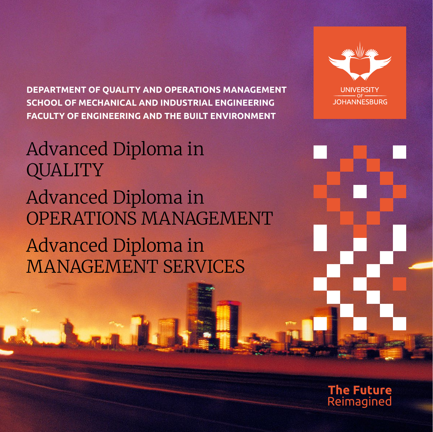**DEPARTMENT OF QUALITY AND OPERATIONS MANAGEMENT SCHOOL OF MECHANICAL AND INDUSTRIAL ENGINEERING FACULTY OF ENGINEERING AND THE BUILT ENVIRONMENT**





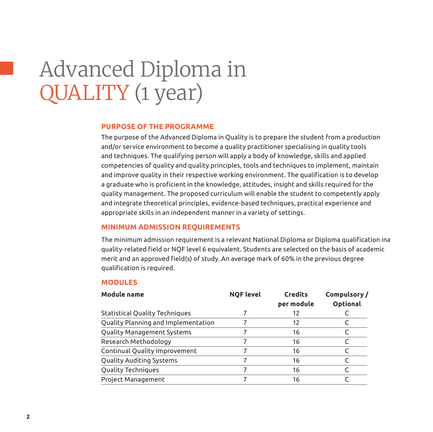# Advanced Diploma in QUALITY (1 year)

### **Purpose of the programme**

The purpose of the Advanced Diploma in Quality is to prepare the student from a production and/or service environment to become a quality practitioner specialising in quality tools and techniques. The qualifying person will apply a body of knowledge, skills and applied competencies of quality and quality principles, tools and techniques to implement, maintain and improve quality in their respective working environment. The qualification is to develop a graduate who is proficient in the knowledge, attitudes, insight and skills required for the quality management. The proposed curriculum will enable the student to competently apply and integrate theoretical principles, evidence-based techniques, practical experience and appropriate skills in an independent manner in a variety of settings.

#### **Minimum admission requirements**

The minimum admission requirement is a relevant National Diploma or Diploma qualification ina quality-related field or NQF level 6 equivalent. Students are selected on the basis of academic merit and an approved field(s) of study. An average mark of 60% in the previous degree qualification is required.

#### **Modules**

| <b>Module name</b>                    | <b>NQF level</b> | <b>Credits</b><br>per module | Compulsory/<br>Optional |
|---------------------------------------|------------------|------------------------------|-------------------------|
| <b>Statistical Quality Techniques</b> |                  | 12                           |                         |
| Quality Planning and Implementation   |                  | 12                           |                         |
| Quality Management Systems            |                  | 16                           |                         |
| Research Methodology                  |                  | 16                           |                         |
| Continual Quality Improvement         |                  | 16                           |                         |
| Quality Auditing Systems              |                  | 16                           |                         |
| Quality Techniques                    |                  | 16                           |                         |
| Project Management                    |                  | 16                           |                         |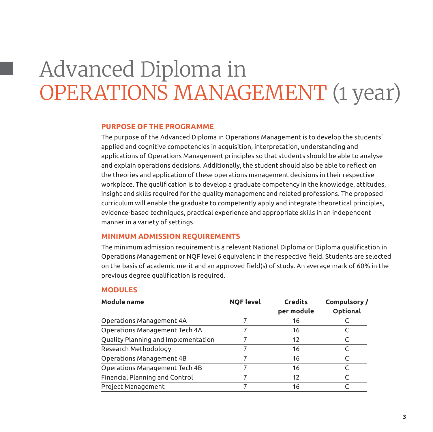# Advanced Diploma in OPERATIONS MANAGEMENT (1 year)

### **Purpose of the programme**

The purpose of the Advanced Diploma in Operations Management is to develop the students' applied and cognitive competencies in acquisition, interpretation, understanding and applications of Operations Management principles so that students should be able to analyse and explain operations decisions. Additionally, the student should also be able to reflect on the theories and application of these operations management decisions in their respective workplace. The qualification is to develop a graduate competency in the knowledge, attitudes, insight and skills required for the quality management and related professions. The proposed curriculum will enable the graduate to competently apply and integrate theoretical principles, evidence-based techniques, practical experience and appropriate skills in an independent manner in a variety of settings.

#### **Minimum admission requirements**

The minimum admission requirement is a relevant National Diploma or Diploma qualification in Operations Management or NQF level 6 equivalent in the respective field. Students are selected on the basis of academic merit and an approved field(s) of study. An average mark of 60% in the previous degree qualification is required.

#### **Modules**

| <b>Module name</b>                  | <b>NQF level</b> | <b>Credits</b><br>per module | Compulsory/<br>Optional |
|-------------------------------------|------------------|------------------------------|-------------------------|
| Operations Management 4A            |                  | 16                           |                         |
| Operations Management Tech 4A       |                  | 16                           |                         |
| Quality Planning and Implementation |                  | 12                           |                         |
| Research Methodology                |                  | 16                           |                         |
| Operations Management 4B            |                  | 16                           |                         |
| Operations Management Tech 4B       |                  | 16                           |                         |
| Financial Planning and Control      |                  | 12                           |                         |
| Project Management                  |                  | 16                           |                         |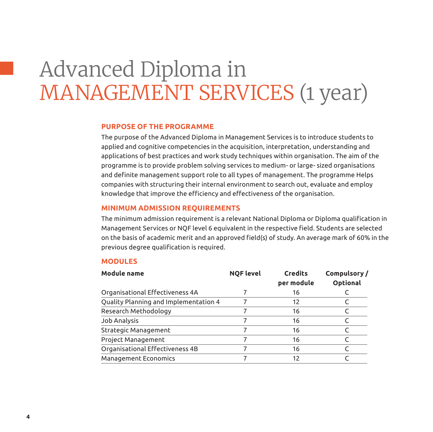# Advanced Diploma in MANAGEMENT SERVICES (1 year)

### **Purpose of the programme**

The purpose of the Advanced Diploma in Management Services is to introduce students to applied and cognitive competencies in the acquisition, interpretation, understanding and applications of best practices and work study techniques within organisation. The aim of the programme is to provide problem solving services to medium- or large- sized organisations and definite management support role to all types of management. The programme Helps companies with structuring their internal environment to search out, evaluate and employ knowledge that improve the efficiency and effectiveness of the organisation.

#### **Minimum admission requirements**

The minimum admission requirement is a relevant National Diploma or Diploma qualification in Management Services or NQF level 6 equivalent in the respective field. Students are selected on the basis of academic merit and an approved field(s) of study. An average mark of 60% in the previous degree qualification is required.

#### **Modules**

| <b>Module name</b>                    | <b>NQF level</b> | <b>Credits</b><br>per module | Compulsory/<br>Optional |
|---------------------------------------|------------------|------------------------------|-------------------------|
| Organisational Effectiveness 4A       |                  | 16                           |                         |
| Quality Planning and Implementation 4 |                  | 12                           |                         |
| Research Methodology                  |                  | 16                           |                         |
| Job Analysis                          |                  | 16                           |                         |
| Strategic Management                  |                  | 16                           |                         |
| Project Management                    |                  | 16                           |                         |
| Organisational Effectiveness 4B       |                  | 16                           |                         |
| Management Economics                  |                  | 12                           |                         |